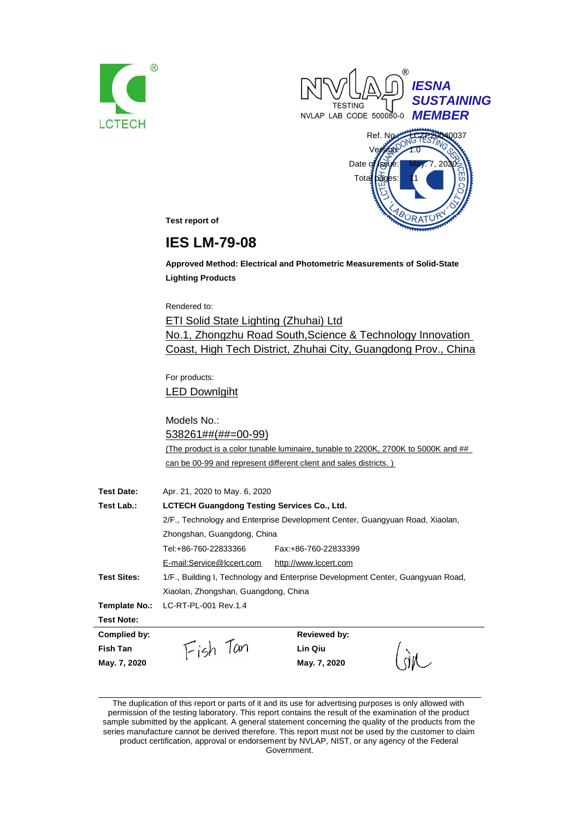





L SIAZ

**Test report of**

# **IES LM-79-08**

**Approved Method: Electrical and Photometric Measurements of Solid-State Lighting Products**

Rendered to:

ETI Solid State Lighting (Zhuhai) Ltd No.1, Zhongzhu Road South,Science & Technology Innovation Coast, High Tech District, Zhuhai City, Guangdong Prov., China

For products: LED Downlgiht

**May. 7, 2020 May. 7, 2020**

Models No.: 538261##(##=00-99) (The product is a color tunable luminaire, tunable to 2200K, 2700K to 5000K and ## can be 00-99 and represent different client and sales districts. )

| <b>Test Date:</b>  | Apr. 21, 2020 to May. 6, 2020                                                   |  |  |  |
|--------------------|---------------------------------------------------------------------------------|--|--|--|
| Test Lab.:         | <b>LCTECH Guangdong Testing Services Co., Ltd.</b>                              |  |  |  |
|                    | 2/F., Technology and Enterprise Development Center, Guangyuan Road, Xiaolan,    |  |  |  |
|                    | Zhongshan, Guangdong, China                                                     |  |  |  |
|                    | Tel:+86-760-22833366<br>Fax: +86-760-22833399                                   |  |  |  |
|                    | E-mail:Service@lccert.com<br>http://www.lccert.com                              |  |  |  |
| <b>Test Sites:</b> | 1/F., Building I, Technology and Enterprise Development Center, Guangyuan Road, |  |  |  |
|                    | Xiaolan, Zhongshan, Guangdong, China                                            |  |  |  |
| Template No.:      | LC-RT-PL-001 Rev.1.4                                                            |  |  |  |
| <b>Test Note:</b>  |                                                                                 |  |  |  |
| Complied by:       | <b>Reviewed by:</b>                                                             |  |  |  |
| Fish Tan           | Lin Qiu                                                                         |  |  |  |

The duplication of this report or parts of it and its use for advertising purposes is only allowed with permission of the testing laboratory. This report contains the result of the examination of the product sample submitted by the applicant. A general statement concerning the quality of the products from the series manufacture cannot be derived therefore. This report must not be used by the customer to claim product certification, approval or endorsement by NVLAP, NIST, or any agency of the Federal

Government.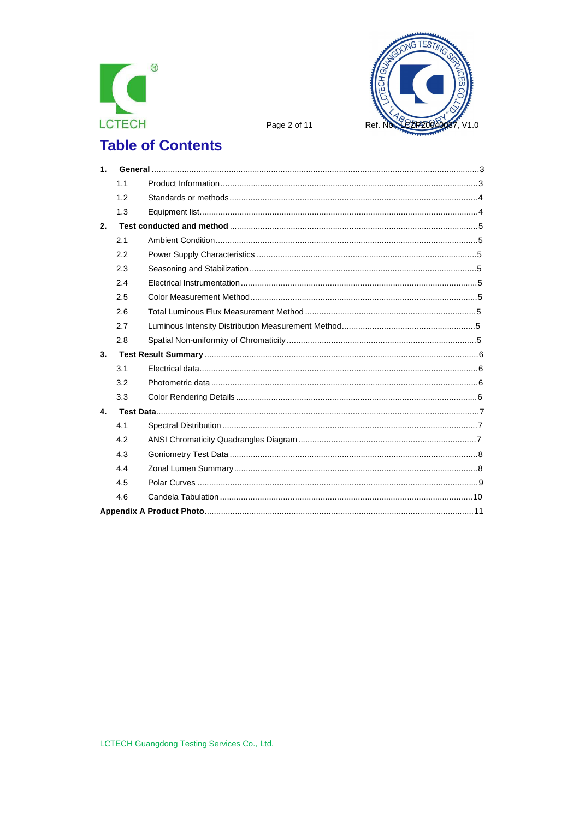



Page 2 of 11

# **Table of Contents**

| 1 <sub>1</sub> |     |  |
|----------------|-----|--|
|                | 1.1 |  |
|                | 1.2 |  |
|                | 1.3 |  |
| 2.             |     |  |
|                | 2.1 |  |
|                | 2.2 |  |
|                | 2.3 |  |
|                | 2.4 |  |
|                | 2.5 |  |
|                | 2.6 |  |
|                | 2.7 |  |
|                | 2.8 |  |
| 3.             |     |  |
|                | 3.1 |  |
|                | 3.2 |  |
|                | 3.3 |  |
| 4.             |     |  |
|                | 4.1 |  |
|                | 4.2 |  |
|                | 4.3 |  |
|                | 4.4 |  |
|                | 4.5 |  |
|                | 4.6 |  |
|                |     |  |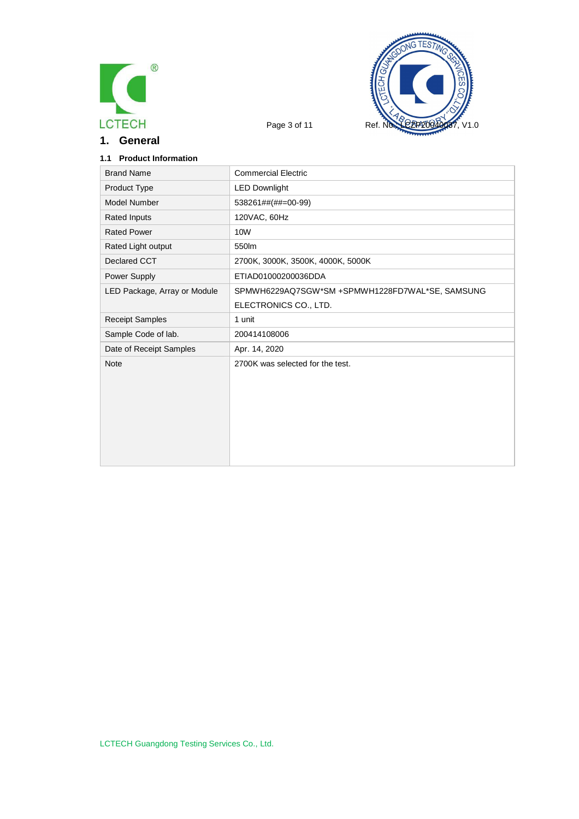

**1. General**



## **1.1 Product Information**

| <b>Brand Name</b>            | <b>Commercial Electric</b>                      |
|------------------------------|-------------------------------------------------|
| Product Type                 | <b>LED Downlight</b>                            |
| Model Number                 | 538261##(##=00-99)                              |
| <b>Rated Inputs</b>          | 120VAC, 60Hz                                    |
| <b>Rated Power</b>           | 10W                                             |
| Rated Light output           | 550lm                                           |
| Declared CCT                 | 2700K, 3000K, 3500K, 4000K, 5000K               |
| Power Supply                 | ETIAD01000200036DDA                             |
| LED Package, Array or Module | SPMWH6229AQ7SGW*SM +SPMWH1228FD7WAL*SE, SAMSUNG |
|                              | ELECTRONICS CO., LTD.                           |
| <b>Receipt Samples</b>       | 1 unit                                          |
| Sample Code of lab.          | 200414108006                                    |
| Date of Receipt Samples      | Apr. 14, 2020                                   |
| <b>Note</b>                  | 2700K was selected for the test.                |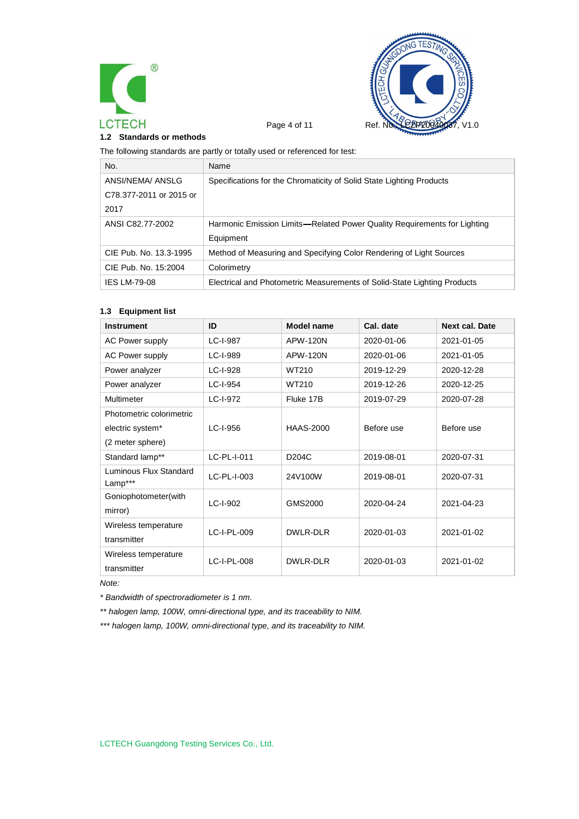



#### **1.2 Standards or methods**

The following standards are partly or totally used or referenced for test:

| No.                     | Name                                                                     |
|-------------------------|--------------------------------------------------------------------------|
| ANSI/NEMA/ ANSLG        | Specifications for the Chromaticity of Solid State Lighting Products     |
| C78.377-2011 or 2015 or |                                                                          |
| 2017                    |                                                                          |
| ANSI C82.77-2002        | Harmonic Emission Limits—Related Power Quality Requirements for Lighting |
|                         | Equipment                                                                |
| CIE Pub. No. 13.3-1995  | Method of Measuring and Specifying Color Rendering of Light Sources      |
| CIE Pub. No. 15:2004    | Colorimetry                                                              |
| <b>IES LM-79-08</b>     | Electrical and Photometric Measurements of Solid-State Lighting Products |

#### **1.3 Equipment list**

| <b>Instrument</b>                 | ID          | Model name         | Cal. date  | <b>Next cal. Date</b> |
|-----------------------------------|-------------|--------------------|------------|-----------------------|
| <b>AC Power supply</b>            | LC-I-987    | APW-120N           | 2020-01-06 | 2021-01-05            |
| <b>AC Power supply</b>            | LC-I-989    | <b>APW-120N</b>    | 2020-01-06 | 2021-01-05            |
| Power analyzer                    | LC-I-928    | WT210              | 2019-12-29 | 2020-12-28            |
| Power analyzer                    | LC-I-954    | WT210              | 2019-12-26 | 2020-12-25            |
| Multimeter                        | LC-I-972    | Fluke 17B          | 2019-07-29 | 2020-07-28            |
| Photometric colorimetric          |             |                    |            |                       |
| electric system*                  | LC-I-956    | <b>HAAS-2000</b>   | Before use | Before use            |
| (2 meter sphere)                  |             |                    |            |                       |
| Standard lamp**                   | LC-PL-I-011 | D <sub>204</sub> C | 2019-08-01 | 2020-07-31            |
| Luminous Flux Standard<br>Lamp*** | LC-PL-I-003 | 24V100W            | 2019-08-01 | 2020-07-31            |
| Goniophotometer(with              | LC-I-902    | GMS2000            | 2020-04-24 | 2021-04-23            |
| mirror)                           |             |                    |            |                       |
| Wireless temperature              | LC-I-PL-009 | DWLR-DLR           | 2020-01-03 | 2021-01-02            |
| transmitter                       |             |                    |            |                       |
| Wireless temperature              | LC-I-PL-008 | DWLR-DLR           | 2020-01-03 | 2021-01-02            |
| transmitter                       |             |                    |            |                       |

*Note:*

*\* Bandwidth of spectroradiometer is 1 nm.*

*\*\* halogen lamp, 100W, omni-directional type, and its traceability to NIM.*

*\*\*\* halogen lamp, 100W, omni-directional type, and its traceability to NIM.*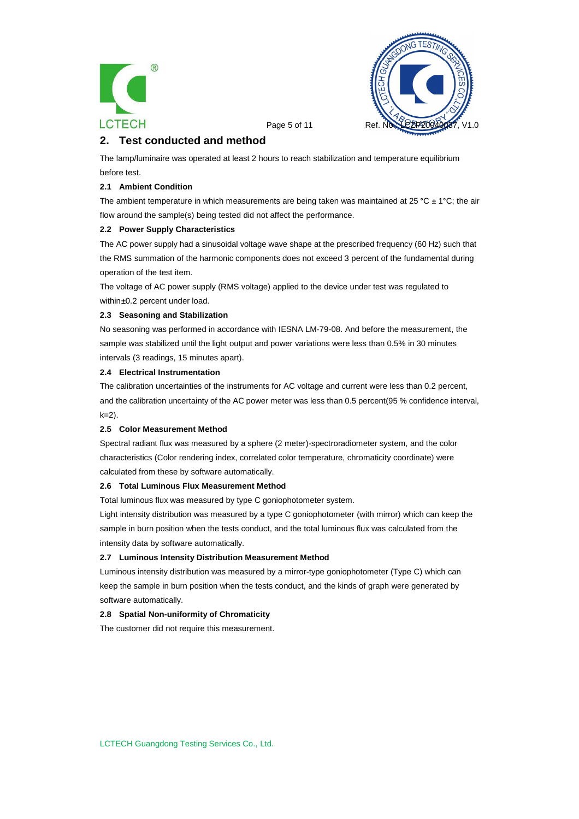



Page 5 of 11 Ref.

# **2. Test conducted and method**

The lamp/luminaire was operated at least 2 hours to reach stabilization and temperature equilibrium before test.

#### **2.1 Ambient Condition**

The ambient temperature in which measurements are being taken was maintained at 25 °C  $\pm$  1°C; the air flow around the sample(s) being tested did not affect the performance.

#### **2.2 Power Supply Characteristics**

The AC power supply had a sinusoidal voltage wave shape at the prescribed frequency (60 Hz) such that the RMS summation of the harmonic components does not exceed 3 percent of the fundamental during operation of the test item.

The voltage of AC power supply (RMS voltage) applied to the device under test was regulated to within ±0.2 percent under load.

#### **2.3 Seasoning and Stabilization**

No seasoning was performed in accordance with IESNA LM-79-08. And before the measurement, the sample was stabilized until the light output and power variations were less than 0.5% in 30 minutes intervals (3 readings, 15 minutes apart).

#### **2.4 Electrical Instrumentation**

The calibration uncertainties of the instruments for AC voltage and current were less than 0.2 percent, and the calibration uncertainty of the AC power meter was less than 0.5 percent(95 % confidence interval,  $k=2$ ).

#### **2.5 Color Measurement Method**

Spectral radiant flux was measured by a sphere (2 meter)-spectroradiometer system, and the color characteristics (Color rendering index, correlated color temperature, chromaticity coordinate) were calculated from these by software automatically.

#### **2.6 Total Luminous Flux Measurement Method**

Total luminous flux was measured by type C goniophotometer system.

Light intensity distribution was measured by a type C goniophotometer (with mirror) which can keep the sample in burn position when the tests conduct, and the total luminous flux was calculated from the intensity data by software automatically.

#### **2.7 Luminous Intensity Distribution Measurement Method**

Luminous intensity distribution was measured by a mirror-type goniophotometer (Type C) which can keep the sample in burn position when the tests conduct, and the kinds of graph were generated by software automatically.

#### **2.8 Spatial Non-uniformity of Chromaticity**

The customer did not require this measurement.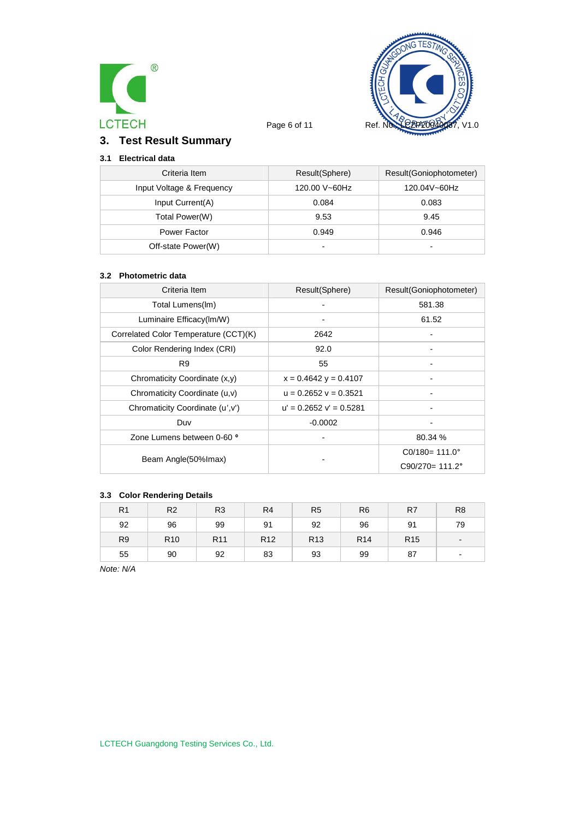



# **3. Test Result Summary**

# **3.1 Electrical data**

| Criteria Item             | Result(Sphere) | Result(Goniophotometer) |
|---------------------------|----------------|-------------------------|
| Input Voltage & Frequency | 120.00 V~60Hz  | 120.04V~60Hz            |
| Input Current(A)          | 0.084          | 0.083                   |
| Total Power(W)            | 9.53           | 9.45                    |
| Power Factor              | 0.949          | 0.946                   |
| Off-state Power(W)        | $\blacksquare$ | -                       |

#### **3.2 Photometric data**

| Criteria Item                         | Result(Sphere)              | Result(Goniophotometer)   |
|---------------------------------------|-----------------------------|---------------------------|
| Total Lumens(Im)                      |                             | 581.38                    |
| Luminaire Efficacy(Im/W)              |                             | 61.52                     |
| Correlated Color Temperature (CCT)(K) | 2642                        |                           |
| Color Rendering Index (CRI)           | 92.0                        |                           |
| R <sub>9</sub>                        | 55                          |                           |
| Chromaticity Coordinate (x,y)         | $x = 0.4642$ y = 0.4107     |                           |
| Chromaticity Coordinate (u,v)         | $u = 0.2652$ $v = 0.3521$   |                           |
| Chromaticity Coordinate (u', v')      | $u' = 0.2652$ $v' = 0.5281$ |                           |
| Duv                                   | $-0.0002$                   |                           |
| Zone Lumens between 0-60 °            |                             | 80.34 %                   |
|                                       |                             | $CO/180 = 111.0^{\circ}$  |
| Beam Angle(50% Imax)                  |                             | $C90/270 = 111.2^{\circ}$ |

### **3.3 Color Rendering Details**

| R <sub>1</sub> | R <sub>2</sub>  | R <sub>3</sub>  | R <sub>4</sub>  | R <sub>5</sub>  | R <sub>6</sub>  | R7              | R <sub>8</sub>           |
|----------------|-----------------|-----------------|-----------------|-----------------|-----------------|-----------------|--------------------------|
| 92             | 96              | 99              | 91              | 92              | 96              | 91              | 79                       |
| R <sub>9</sub> | R <sub>10</sub> | R <sub>11</sub> | R <sub>12</sub> | R <sub>13</sub> | R <sub>14</sub> | R <sub>15</sub> | $\overline{\phantom{a}}$ |
| 55             | 90              | 92              | 83              | 93              | 99              | 87              | $\blacksquare$           |

*Note: N/A*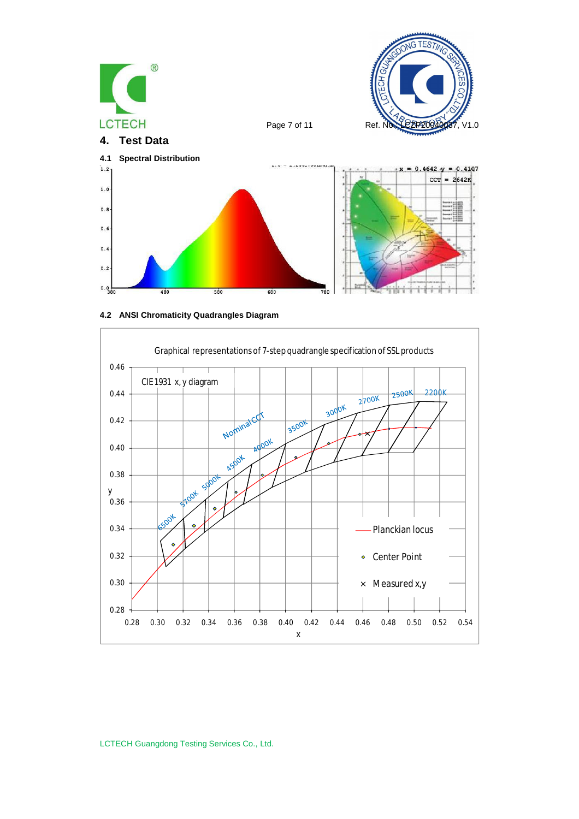

**4.2 ANSI Chromaticity Quadrangles Diagram**



LCTECH Guangdong Testing Services Co., Ltd.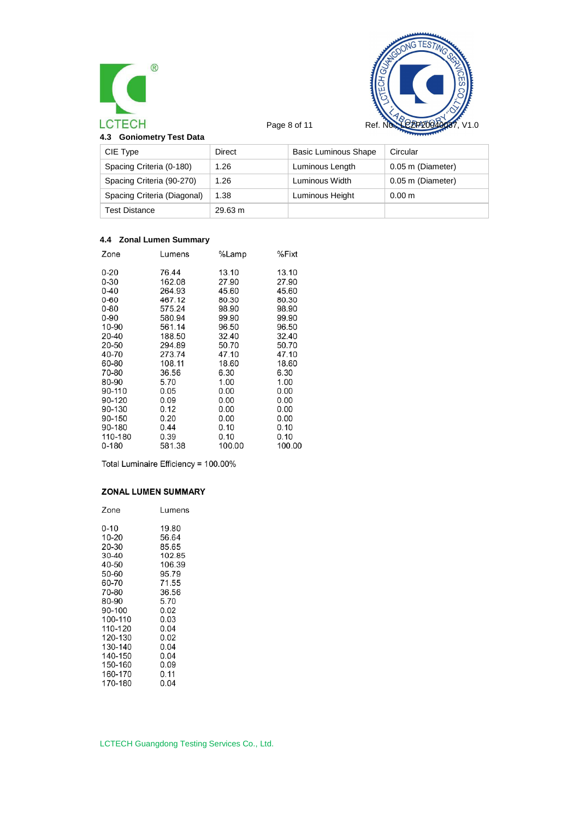



| 4.3 Goniometry Test Data |  |
|--------------------------|--|
|--------------------------|--|

| CIE Type                    | Direct  | <b>Basic Luminous Shape</b> | Circular          |  |
|-----------------------------|---------|-----------------------------|-------------------|--|
| Spacing Criteria (0-180)    | 1.26    | Luminous Length             | 0.05 m (Diameter) |  |
| Spacing Criteria (90-270)   | 1.26    | Luminous Width              | 0.05 m (Diameter) |  |
| Spacing Criteria (Diagonal) | 1.38    | Luminous Height             | 0.00 m            |  |
| <b>Test Distance</b>        | 29.63 m |                             |                   |  |

## **4.4 Zonal Lumen Summary**

| Zone      | Lumens | %Lamp  | %Fixt  |
|-----------|--------|--------|--------|
| $0 - 20$  | 76.44  | 13.10  | 13.10  |
| $0 - 30$  | 162.08 | 27.90  | 27.90  |
| $0 - 40$  | 264.93 | 45.60  | 45.60  |
| $0 - 60$  | 467.12 | 80.30  | 80.30  |
| $0 - 80$  | 575.24 | 98.90  | 98.90  |
| 0-90      | 580.94 | 99.90  | 99.90  |
| 10-90     | 561.14 | 96.50  | 96.50  |
| 20-40     | 188.50 | 32.40  | 32.40  |
| 20-50     | 294.89 | 50.70  | 50.70  |
| 40-70     | 273.74 | 47.10  | 47.10  |
| 60-80     | 108.11 | 18.60  | 18.60  |
| 70-80     | 36.56  | 6.30   | 6.30   |
| 80-90     | 5.70   | 1.00   | 1.00   |
| 90-110    | 0.05   | 0.00   | 0.00   |
| 90-120    | 0.09   | 0.00   | 0.00   |
| 90-130    | 0.12   | 0.00   | 0.00   |
| 90-150    | 0.20   | 0.00   | 0.00   |
| 90-180    | 0.44   | 0.10   | 0.10   |
| 110-180   | 0.39   | 0.10   | 0.10   |
| $0 - 180$ | 581.38 | 100.00 | 100.00 |
|           |        |        |        |

Total Luminaire Efficiency = 100.00%

#### **ZONAL LUMEN SUMMARY**

| Zone    | Lumens |
|---------|--------|
| 0-10    | 19.80  |
| 10-20   | 56.64  |
| 20-30   | 85.65  |
| 30-40   | 102.85 |
| 40-50   | 106.39 |
| 50-60   | 95.79  |
| 60-70   | 71.55  |
| 70-80   | 36.56  |
| 80-90   | 5.70   |
| 90-100  | 0.02   |
| 100-110 | 0.03   |
| 110-120 | 0.04   |
| 120-130 | 0.02   |
| 130-140 | 0.04   |
| 140-150 | 0.04   |
| 150-160 | 0.09   |
| 160-170 | 0.11   |
| 170-180 | 0.04   |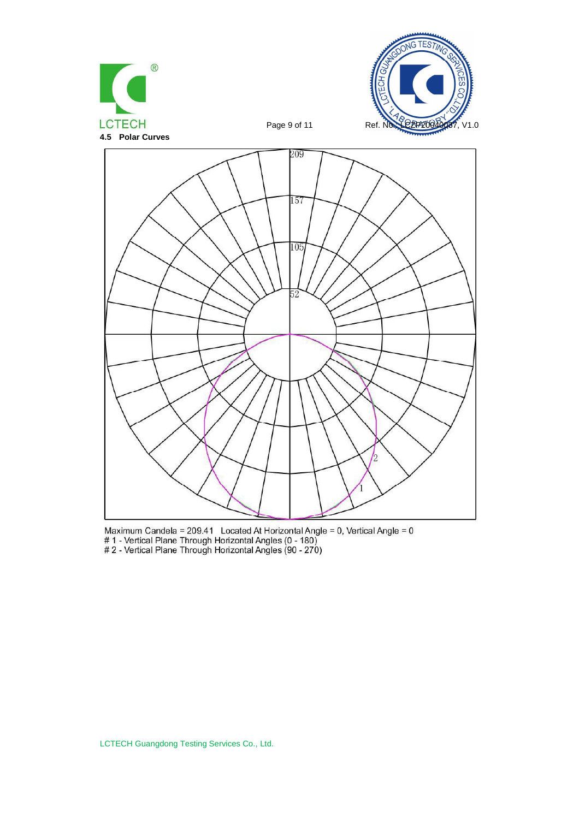





Maximum Candela = 209.41 Located At Horizontal Angle = 0, Vertical Angle = 0<br># 1 - Vertical Plane Through Horizontal Angles (0 - 180)<br># 2 - Vertical Plane Through Horizontal Angles (90 - 270)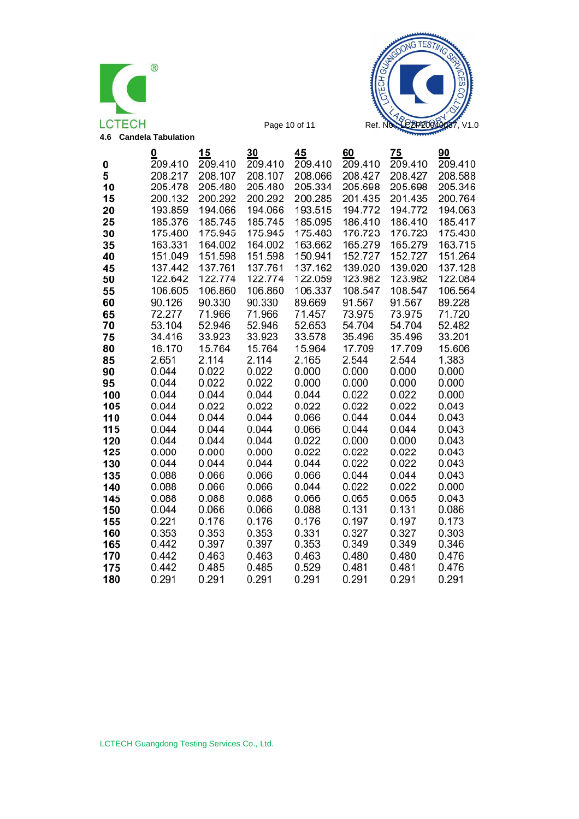



|            | o              | 15             | 30             | 45             | 60             | 75             | 90             |
|------------|----------------|----------------|----------------|----------------|----------------|----------------|----------------|
| 0          | 209.410        | 209.410        | 209.410        | 209.410        | 209.410        | 209.410        | 209.410        |
| 5          | 208.217        | 208.107        | 208.107        | 208.066        | 208.427        | 208.427        | 208.588        |
| 10         | 205.478        | 205.480        | 205.480        | 205.334        | 205.698        | 205.698        | 205.346        |
| 15         | 200.132        | 200.292        | 200.292        | 200.285        | 201.435        | 201.435        | 200.764        |
| 20         | 193.859        | 194.066        | 194.066        | 193.515        | 194.772        | 194.772        | 194.063        |
| 25         | 185.376        | 185.745        | 185.745        | 185.095        | 186.410        | 186.410        | 185.417        |
| 30         | 175.480        | 175.945        | 175.945        | 175.483        | 176.723        | 176.723        | 175.430        |
| 35         | 163.331        | 164.002        | 164.002        | 163.662        | 165.279        | 165.279        | 163.715        |
| 40         | 151.049        | 151.598        | 151.598        | 150.941        | 152.727        | 152.727        | 151.264        |
| 45         | 137.442        | 137.761        | 137.761        | 137.162        | 139.020        | 139.020        | 137.128        |
| 50         | 122.642        | 122.774        | 122.774        | 122.059        | 123.982        | 123.982        | 122.084        |
| 55         | 106.605        | 106.860        | 106.860        | 106.337        | 108.547        | 108.547        | 106.564        |
| 60         | 90.126         | 90.330         | 90.330         | 89.669         | 91.567         | 91.567         | 89.228         |
| 65         | 72.277         | 71.966         | 71.966         | 71.457         | 73.975         | 73.975         | 71.720         |
| 70         | 53.104         | 52.946         | 52.946         | 52.653         | 54.704         | 54.704         | 52.482         |
| 75         | 34.416         | 33.923         | 33.923         | 33.578         | 35.496         | 35.496         | 33.201         |
| 80         | 16.170         | 15.764         | 15.764         | 15.964         | 17.709         | 17.709         | 15.606         |
| 85         | 2.651          | 2.114          | 2.114          | 2.165          | 2.544          | 2.544          | 1.383          |
| 90         | 0.044          | 0.022          | 0.022          | 0.000          | 0.000          | 0.000          | 0.000          |
| 95         | 0.044<br>0.044 | 0.022<br>0.044 | 0.022<br>0.044 | 0.000<br>0.044 | 0.000<br>0.022 | 0.000<br>0.022 | 0.000<br>0.000 |
| 100<br>105 | 0.044          | 0.022          | 0.022          | 0.022          | 0.022          | 0.022          | 0.043          |
| 110        | 0.044          | 0.044          | 0.044          | 0.066          | 0.044          | 0.044          | 0.043          |
| 115        | 0.044          | 0.044          | 0.044          | 0.066          | 0.044          | 0.044          | 0.043          |
| 120        | 0.044          | 0.044          | 0.044          | 0.022          | 0.000          | 0.000          | 0.043          |
| 125        | 0.000          | 0.000          | 0.000          | 0.022          | 0.022          | 0.022          | 0.043          |
| 130        | 0.044          | 0.044          | 0.044          | 0.044          | 0.022          | 0.022          | 0.043          |
| 135        | 0.088          | 0.066          | 0.066          | 0.066          | 0.044          | 0.044          | 0.043          |
| 140        | 0.088          | 0.066          | 0.066          | 0.044          | 0.022          | 0.022          | 0.000          |
| 145        | 0.088          | 0.088          | 0.088          | 0.066          | 0.065          | 0.065          | 0.043          |
| 150        | 0.044          | 0.066          | 0.066          | 0.088          | 0.131          | 0.131          | 0.086          |
| 155        | 0.221          | 0.176          | 0.176          | 0.176          | 0.197          | 0.197          | 0.173          |
| 160        | 0.353          | 0.353          | 0.353          | 0.331          | 0.327          | 0.327          | 0.303          |
| 165        | 0.442          | 0.397          | 0.397          | 0.353          | 0.349          | 0.349          | 0.346          |
| 170        | 0.442          | 0.463          | 0.463          | 0.463          | 0.480          | 0.480          | 0.476          |
| 175        | 0.442          | 0.485          | 0.485          | 0.529          | 0.481          | 0.481          | 0.476          |
| 180        | 0.291          | 0.291          | 0.291          | 0.291          | 0.291          | 0.291          | 0.291          |